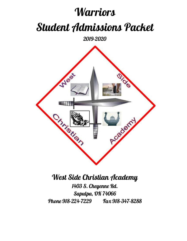# **Warriors** Student Admissions Packet

2019-2020



# West Side Christian Academy 1403 S. Cheyenne Rd.

Sapulpa, OK 74066 Phone 918-224-7229 Fax 918-347-8288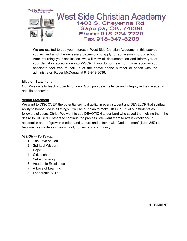

We are excited to see your interest in West Side Christian Academy. In this packet, you will find all of the necessary paperwork to apply for admission into our school. After returning your application, we will view all documentation and inform you of your denial or acceptance into WSCA. If you do not hear from us as soon as you anticipate feel free to call us at the above phone number or speak with the administrator, Roger McDougal at 918-949-8636.

#### **Mission Statement**

Our Mission is to teach students to honor God, pursue excellence and integrity in their academic and life endeavors.

### **Vision Statement**

We want to DISCOVER the potential spiritual ability in every student and DEVELOP that spiritual ability to honor God in all things. It will be our plan to make DISCIPLES of our students as followers of Jesus Christ. We want to see DEVOTION to our Lord who saved them giving them the desire to DISCIPLE others to continue the process. We want them to attain excellence in academics and to "grow in wisdom and stature and in favor with God and men" (Luke 2:52) to become role models in their school, homes, and community.

### *VISION -- To Teach***:**

- 1. The Love of God
- 2. Spiritual Wisdom
- 3. Hope
- 4. Citizenship
- 5. Self-sufficiency
- 6. Academic Excellence
- 7. A Love of Learning
- 8. Leadership Skills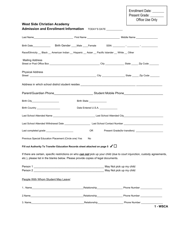Enrollment Date: Present Grade: \_\_\_\_\_\_\_ Office Use Only **West Side Christian Academy Admission and Enrollment Information** TODAY'S DATE \_\_\_\_\_\_\_\_\_\_ Last Name\_\_\_\_\_\_\_\_\_\_\_\_\_\_\_\_\_\_\_\_\_\_\_\_\_\_\_\_\_ First Name \_\_\_\_\_\_\_\_\_\_\_\_\_\_\_\_\_\_\_\_\_\_\_\_ Middle Name \_\_\_\_\_\_\_\_\_\_\_\_\_\_\_\_ Birth Date\_\_\_\_\_\_\_\_\_\_\_\_\_ Birth Gender \_\_\_\_Male \_\_\_\_Female SSN: \_\_\_\_\_\_\_\_\_ - \_\_\_\_\_\_\_\_\_ - \_\_\_\_\_\_\_\_\_\_\_\_ Race/Ethnicity Black American Indian Hispanic Asian Pacific Islander White Other Mailing Address Street or Post Office Box \_\_\_\_\_\_\_\_\_\_\_\_\_\_\_\_\_\_\_\_\_\_\_\_\_\_\_\_\_\_\_\_\_\_\_\_\_ City \_\_\_\_\_\_\_\_\_\_\_\_\_\_ State \_\_\_\_\_ Zip Code \_\_\_\_\_\_\_ Physical Address Street \_\_\_\_\_\_\_\_\_\_\_\_\_\_\_\_\_\_\_\_\_\_\_\_\_\_\_\_\_\_\_\_\_\_\_\_\_\_\_\_\_\_\_\_\_\_\_\_\_ City \_\_\_\_\_\_\_\_\_\_\_\_\_\_\_\_\_ State \_\_\_\_\_ Zip Code \_\_\_\_\_\_\_ Address in which school district student resides \_\_\_\_\_\_\_\_\_\_\_\_\_\_\_\_\_\_\_\_\_\_\_\_\_\_\_\_\_\_\_\_\_\_\_\_ \_\_\_\_\_\_\_\_\_\_\_\_\_\_\_\_\_ Parent/Guardian Phone\_\_\_\_\_\_\_\_\_\_\_\_\_\_\_\_\_\_\_\_\_\_\_\_\_\_\_\_\_\_\_\_\_\_Student Mobile Phone\_\_\_\_\_\_\_\_\_\_\_\_\_\_\_\_\_\_\_\_\_\_\_\_\_\_\_\_\_\_\_\_\_\_\_ Birth City\_\_\_\_\_\_\_\_\_\_\_\_\_\_\_\_\_\_\_\_ Birth State \_\_\_\_\_\_\_\_\_\_\_\_\_ Birth Country \_\_\_\_\_\_\_\_\_\_\_\_\_\_\_\_\_ Date Entered U.S.A. \_\_\_\_\_\_\_\_\_\_\_\_\_ Last School Attended Name \_\_\_\_\_\_\_\_\_\_\_\_\_\_\_\_\_\_\_\_\_\_\_\_\_\_\_\_\_\_\_ Last School Attended City\_\_\_\_\_\_\_\_\_\_\_\_\_\_\_\_\_\_\_\_\_\_\_\_\_\_\_\_\_ Last School Attended Withdrawal Date \_\_\_\_\_\_\_\_\_\_\_\_\_\_\_\_\_\_\_ Last School Contact Number \_\_\_\_\_\_\_\_\_\_\_\_\_\_\_\_\_\_\_\_\_\_\_\_\_\_\_\_\_ Last completed grade \_\_\_\_\_\_\_\_\_\_\_\_\_\_\_\_\_\_\_\_ OR Present Grade(for transfers) \_\_\_\_\_\_\_\_\_\_\_\_\_\_\_\_\_\_\_\_ Previous Special Education Placement (Circle one) Yes No **Fill out Authority To Transfer Education Records sheet attached on page <sup>5</sup>** ✓☐ If there are certain, specific restrictions on who *can not* pick up your child (due to court injunction, custody agreements, etc.), please list in the blanks below. Please provide copies of legal documents. Person 1 \_\_\_\_\_\_\_\_\_\_\_\_\_\_\_\_\_\_\_\_\_\_\_\_\_\_\_\_\_\_\_\_\_\_\_\_\_\_\_\_\_\_\_\_\_\_ May Not pick up my child Person 2 \_\_\_\_\_\_\_\_\_\_\_\_\_\_\_\_\_\_\_\_\_\_\_\_\_\_\_\_\_\_\_\_\_\_\_\_\_\_\_\_\_\_\_\_\_\_ May Not pick up my child People With Whom Student May Leave: 1.. Name\_\_\_\_\_\_\_\_\_\_\_\_\_\_\_\_\_\_\_\_\_\_\_\_\_\_\_\_\_\_\_\_\_\_\_\_\_\_Relationship\_\_\_\_\_\_\_\_\_\_\_\_\_\_\_\_\_\_\_ Phone Number \_\_\_\_\_\_\_\_\_\_\_\_\_\_\_\_ 2.Name\_\_\_\_\_\_\_\_\_\_\_\_\_\_\_\_\_\_\_\_\_\_\_\_\_\_\_\_\_\_\_\_\_\_\_\_\_\_\_Relationship\_\_\_\_\_\_\_\_\_\_\_\_\_\_\_\_\_\_\_ Phone Number \_\_\_\_\_\_\_\_\_\_\_\_\_\_\_\_ 3. Name\_\_\_\_\_\_\_\_\_\_\_\_\_\_\_\_\_\_\_\_\_\_\_\_\_\_\_\_\_\_\_\_\_\_\_\_\_\_\_Relationship\_\_\_\_\_\_\_\_\_\_\_\_\_\_\_\_\_\_\_ Phone Number \_\_\_\_\_\_\_\_\_\_\_\_\_\_\_\_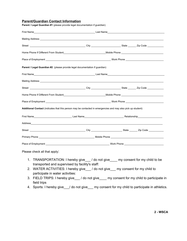#### **Parent/Guardian Contact Information**

| Home Phone If Different From Student <b>Money Act and Student Control of the Control of Control of Control of Control of Control of Control of Control of Control of Control of Control of Control of Control of Control of Cont</b> |  |  |
|--------------------------------------------------------------------------------------------------------------------------------------------------------------------------------------------------------------------------------------|--|--|
|                                                                                                                                                                                                                                      |  |  |
| Parent / Legal Guardian #2 (please provide legal documentation if guardian)                                                                                                                                                          |  |  |
|                                                                                                                                                                                                                                      |  |  |
|                                                                                                                                                                                                                                      |  |  |
|                                                                                                                                                                                                                                      |  |  |
|                                                                                                                                                                                                                                      |  |  |
|                                                                                                                                                                                                                                      |  |  |
| Additional Contact (indicates that this person may be contacted in emergencies and may also pick up student)                                                                                                                         |  |  |
| First Name Relationship Relationship Production Control of the Control of the Control of Technical Control of the Control of the Control of the Control of the Control of the Control of the Control of the Control of the Con       |  |  |
|                                                                                                                                                                                                                                      |  |  |
|                                                                                                                                                                                                                                      |  |  |
|                                                                                                                                                                                                                                      |  |  |
|                                                                                                                                                                                                                                      |  |  |
| Please check all that apply:                                                                                                                                                                                                         |  |  |

**Parent / Legal Guardian #1** (please provide legal documentation if guardian)

1. TRANSPORTATION: I hereby give\_\_\_/ do not give\_\_\_\_ my consent for my child to be transported and supervised by facility's staff:

- 2. WATER ACTIVITIES: I hereby give\_\_\_/ do not give\_\_\_ my consent for my child to participate in water activities:
- 3. FIELD TRIPS: I hereby give\_\_\_/ do not give\_\_\_\_ my consent for my child to participate in field trips
- 4. Sports: I hereby give\_/ do not give\_\_ my consent for my child to participate in athletics.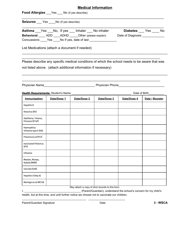### **Medical Information**

\_\_\_\_\_\_\_\_\_\_\_\_\_\_\_\_\_\_\_\_\_\_\_\_\_\_\_\_\_\_\_\_\_\_\_\_\_\_\_\_\_\_\_\_\_\_\_\_\_\_\_\_\_\_\_\_\_\_\_\_\_\_\_\_\_\_\_\_\_\_\_\_\_\_\_\_

**Food Allergies** \_\_\_Yes \_\_\_ No (if yes describe)

**Seizures** Yes No (if yes describe)

| Asthma            | Yes  | No, If yes | Inhaler                 | No inhaler             | Diabetes          | Yes | No. |
|-------------------|------|------------|-------------------------|------------------------|-------------------|-----|-----|
| <b>Behavioral</b> | ADD. | ADHD       |                         | Other (please explain) | Date of Diagnosis |     |     |
| Concussions       | Yes  |            | No If yes, date of last |                        |                   |     |     |

List Medications (attach a document if needed)

Please describe any specific medical conditions of which the school needs to be aware that was not listed above. (attach additional information if necessary)

\_\_\_\_\_\_\_\_\_\_\_\_\_\_\_\_\_\_\_\_\_\_\_\_\_\_\_\_\_\_\_\_\_\_\_\_\_\_\_\_\_\_\_\_\_\_\_\_\_\_\_\_\_\_\_\_\_\_\_\_\_\_\_\_\_\_\_\_\_\_\_\_\_\_\_\_\_\_

\_\_\_\_\_\_\_\_\_\_\_\_\_\_\_\_\_\_\_\_\_\_\_\_\_\_\_\_\_\_\_\_\_\_\_\_\_\_\_\_\_\_\_\_\_\_\_\_\_\_\_\_\_\_\_\_\_\_\_\_\_\_\_\_\_\_\_\_\_\_\_\_\_\_

\_\_\_\_\_\_\_\_\_\_\_\_\_\_\_\_\_\_\_\_\_\_\_\_\_\_\_\_\_\_\_\_\_\_\_\_\_\_\_\_\_\_\_\_\_\_\_\_\_\_\_\_\_\_\_\_\_\_\_\_\_\_\_\_\_\_\_\_\_\_\_\_\_\_\_\_\_\_ \_\_\_\_\_\_\_\_\_\_\_\_\_\_\_\_\_\_\_\_\_\_\_\_\_\_\_\_\_\_\_\_\_\_\_\_\_\_\_\_\_\_\_\_\_\_\_\_\_\_\_\_\_\_\_\_\_\_\_\_\_\_\_\_\_\_\_\_\_\_\_\_\_\_

Physician Name\_\_\_\_\_\_\_\_\_\_\_\_\_\_\_\_\_\_\_\_\_\_\_\_\_\_\_\_\_\_ Physician Phone\_\_\_\_\_\_\_\_\_\_\_\_\_\_\_\_\_\_\_\_\_\_\_\_\_\_\_

| Health Requirements: Student's Name      |             |             | Date of Birth |             |                |  |
|------------------------------------------|-------------|-------------|---------------|-------------|----------------|--|
| Immunization                             | Date/Dose 1 | Date/Dose 2 | Date/Dose 3   | Date/Dose 4 | Date / Booster |  |
| <b>Hepatitis B</b>                       |             |             |               |             |                |  |
| Rotavirus (RV)                           |             |             |               |             |                |  |
| Diphtheria, Tetanus,<br>Pertussis (DTaP) |             |             |               |             |                |  |
| Haemophilus<br>Influenza type b (Hib)    |             |             |               |             |                |  |
| Pneumococcal (PCV)                       |             |             |               |             |                |  |
| <b>Inactivated Poliovirus</b><br>[IPV]   |             |             |               |             |                |  |
| Influenza                                |             |             |               |             |                |  |
| Measles, Mumps,<br>Rubella (MMR)         |             |             |               |             |                |  |
| Varicella (VAR)                          |             |             |               |             |                |  |
| Hepatitis A (Hep A)                      |             |             |               |             |                |  |
| Meningococcal (MCV4)                     |             |             |               |             |                |  |

May attach a copy of shot records to this form.

I, \_\_\_\_\_\_\_\_\_\_\_\_\_\_\_\_\_\_\_\_\_\_\_\_\_\_\_\_\_\_\_\_\_\_\_\_\_ (Parent/Guardian), understand the school's concern for my child's health, but at this time, and until further notice we choose not to vaccinate our children.

\_\_\_\_\_\_\_\_\_\_\_\_\_\_\_\_\_\_\_\_\_\_\_\_\_\_\_\_\_\_\_\_\_\_\_\_\_\_\_\_\_\_ \_\_\_\_\_\_\_\_\_\_\_\_\_\_\_\_\_\_\_\_\_\_\_\_

Parent/Guardian Signature Date **3 - WSCA**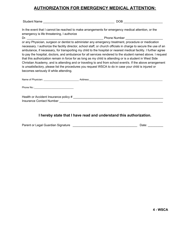### **AUTHORIZATION FOR EMERGENCY MEDICAL ATTENTION:**

Student Name \_\_\_\_\_\_\_\_\_\_\_\_\_\_\_\_\_\_\_\_\_\_\_\_\_\_\_\_\_\_\_\_\_\_\_\_\_\_\_\_\_\_ DOB \_\_\_\_\_\_\_\_\_\_\_\_\_\_\_\_\_\_\_\_\_\_\_

In the event that I cannot be reached to make arrangements for emergency medical attention, or the emergency is life threatening, I authorize

Dr. \_\_\_\_\_\_\_\_\_\_\_\_\_\_\_\_\_\_\_\_\_\_\_\_\_\_\_\_\_\_\_\_\_\_\_\_\_\_\_\_\_\_\_\_\_ Phone Number \_\_\_\_\_\_\_\_\_\_\_\_\_\_\_\_\_\_\_\_\_\_

or any Physician, surgeon or dentist to administer any emergency treatment, procedure or medication necessary. I authorize the facility director, school staff, or church officials in charge to secure the use of an ambulance, if necessary, for transporting my child to the hospital or nearest medical facility. I further agree to pay the hospital, doctors, and ambulance for all services rendered to the student named above. I request that this authorization remain in force for as long as my child is attending or is a student in West Side Christian Academy, and is attending and or traveling to and from school event/s. If the above arrangement is unsatisfactory, please list the procedures you request WSCA to do in case your child is injured or becomes seriously ill while attending.

| Name of Physician: Name of Physician:                             | Address: |
|-------------------------------------------------------------------|----------|
| Phone No.: <u>__________________________________</u>              |          |
| Health or Accident Insurance policy #<br>Insurance Contact Number |          |

**I hereby state that I have read and understand this authorization.**

|  | Parent or Legal Guardian Signature |  | Date: |
|--|------------------------------------|--|-------|
|--|------------------------------------|--|-------|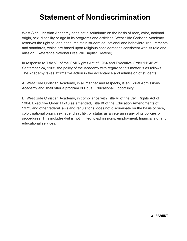# **Statement of Nondiscrimination**

West Side Christian Academy does not discriminate on the basis of race, color, national origin, sex, disability or age in its programs and activities. West Side Christian Academy reserves the right to, and does, maintain student educational and behavioral requirements and standards, which are based upon religious considerations consistent with its role and mission. (Reference National Free Will Baptist Treatise)

In response to Title VII of the Civil Rights Act of 1964 and Executive Order 11246 of September 24, 1965, the policy of the Academy with regard to this matter is as follows. The Academy takes affirmative action in the acceptance and admission of students.

A. West Side Christian Academy, in all manner and respects, is an Equal Admissions Academy and shall offer a program of Equal Educational Opportunity.

B. West Side Christian Academy, in compliance with Title VI of the Civil Rights Act of 1964, Executive Order 11246 as amended, Title IX of the Education Amendments of 1972, and other federal laws and regulations, does not discriminate on the basis of race, color, national origin, sex, age, disability, or status as a veteran in any of its policies or procedures. This includes-but is not limited to-admissions, employment, financial aid, and educational services.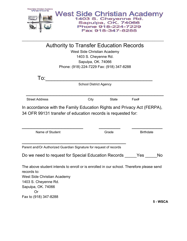

\_\_\_\_\_\_\_\_\_\_\_\_\_\_\_\_\_\_\_\_\_\_\_\_\_\_\_\_\_\_\_\_\_\_\_\_\_\_\_\_\_\_\_\_\_\_\_\_\_\_\_\_\_\_\_\_\_\_\_\_\_\_\_\_\_\_\_\_\_\_\_\_\_\_\_\_

Authority to Transfer Education Records West Side Christian Academy 1403 S. Cheyenne Rd. Sapulpa, OK. 74066 Phone: (918) 224-7229 Fax: (918) 347-8288

| To:                                                                     |                               |              |      |  |
|-------------------------------------------------------------------------|-------------------------------|--------------|------|--|
|                                                                         | <b>School District Agency</b> |              |      |  |
|                                                                         |                               |              |      |  |
| <b>Street Address</b>                                                   | City                          | <b>State</b> | Fax# |  |
| In accordance with the Family Education Rights and Privacy Act (FERPA), |                               |              |      |  |

34 OFR 99131 transfer of education records is requested for:

| Name of Student                                                                                        | Grade | <b>Birthdate</b> |     |
|--------------------------------------------------------------------------------------------------------|-------|------------------|-----|
|                                                                                                        |       |                  |     |
| Parent and/Or Authorized Guardian Signature for request of records                                     |       |                  |     |
| Do we need to request for Special Education Records                                                    |       | Yes              | No. |
| The above student intends to enroll or is enrolled in our school. Therefore please send<br>records to: |       |                  |     |
| West Side Christian Academy                                                                            |       |                  |     |
| 1403 S. Cheyenne Rd.                                                                                   |       |                  |     |
| Sapulpa, OK. 74066                                                                                     |       |                  |     |
|                                                                                                        |       |                  |     |

Fax to (918) 347-8288

**5 - WSCA**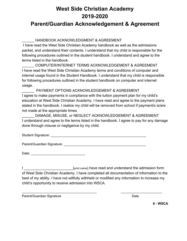## **West Side Christian Academy 2019-2020**

### **Parent/Guardian Acknowledgement & Agreement**

### HANDBOOK ACKNOWLEDGMENT & AGREEMENT

 I have read the West Side Christian Academy handbook as well as the admissions packet, and understand their contents. I understand that my child is responsible for the following procedures outlined in the student handbook. I understand and agree to the terms listed in the handbook.

\_\_\_\_\_\_ COMPUTER/INTERNET TERMS ACKNOWLEDGEMENT & AGREEMENT I have read the West Side Christian Academy terms and conditions of computer and internet usage found in the Student Handbook. I understand that my child is responsible for following procedures outlined in the student handbook on computer and internet usage.

PAYMENT OPTIONS ACKNOWLEDGEMENT & AGREEMENT I agree to make payments in compliance with the tuition payment plan for my child's education at West Side Christian Academy. I have read and agree to the payment plans stated in the handbook. I realize my child will be removed from school if payment/s is/are not made at the appropriate times.

DAMAGE, MISUSE, or NEGLECT ACKNOWLEDGEMENT & AGREEMENT I understand and agree to the terms listed in the handbook. I agree to pay for any damage done through misuse or negligence by my child.

Student Signature: \_\_\_\_\_\_\_\_\_\_\_\_\_\_\_\_\_\_\_\_\_\_\_\_\_\_\_\_\_\_\_\_\_\_\_\_\_\_\_\_\_\_\_\_\_\_\_\_\_\_\_

Parent/Guardian Signature: **Example 2018** 

I \_\_\_\_\_\_\_\_\_\_\_\_\_\_\_\_\_\_\_\_\_\_\_\_\_\_(print name) have read and understand the admission form of West Side Christian Academy. I have completed all documentation of information to the best of my ability. I have not willfully withheld or modified any information to increase my child's opportunity to receive admission into WSCA.

\_\_\_\_\_\_\_\_\_\_\_\_\_\_\_\_\_\_\_\_\_\_\_\_\_\_\_\_\_\_\_\_\_\_\_\_\_\_\_\_ \_\_\_\_\_\_\_\_\_\_\_\_\_\_\_\_\_\_\_\_\_\_

Parent/Guardian Signature **Date** Date Date

**6 - WSCA**